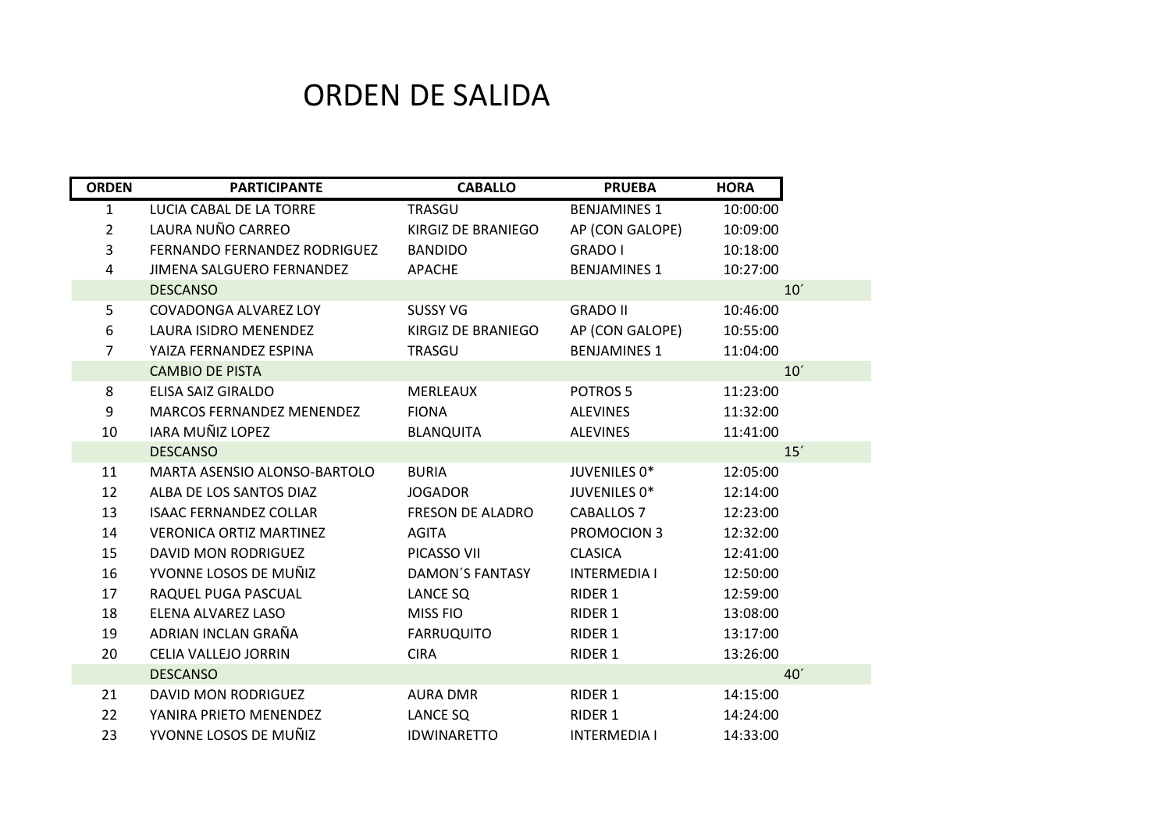## ORDEN DE SALIDA

| <b>ORDEN</b>   | <b>PARTICIPANTE</b>                 | <b>CABALLO</b>          | <b>PRUEBA</b>       | <b>HORA</b>     |
|----------------|-------------------------------------|-------------------------|---------------------|-----------------|
| $\mathbf{1}$   | LUCIA CABAL DE LA TORRE             | TRASGU                  | <b>BENJAMINES 1</b> | 10:00:00        |
| $\overline{2}$ | LAURA NUÑO CARREO                   | KIRGIZ DE BRANIEGO      | AP (CON GALOPE)     | 10:09:00        |
| 3              | <b>FERNANDO FERNANDEZ RODRIGUEZ</b> | <b>BANDIDO</b>          | <b>GRADO I</b>      | 10:18:00        |
| 4              | JIMENA SALGUERO FERNANDEZ           | APACHE                  | <b>BENJAMINES 1</b> | 10:27:00        |
|                | <b>DESCANSO</b>                     |                         |                     | 10'             |
| 5              | <b>COVADONGA ALVAREZ LOY</b>        | <b>SUSSY VG</b>         | <b>GRADO II</b>     | 10:46:00        |
| 6              | <b>LAURA ISIDRO MENENDEZ</b>        | KIRGIZ DE BRANIEGO      | AP (CON GALOPE)     | 10:55:00        |
| $\overline{7}$ | YAIZA FERNANDEZ ESPINA              | TRASGU                  | <b>BENJAMINES 1</b> | 11:04:00        |
|                | <b>CAMBIO DE PISTA</b>              |                         |                     | 10'             |
| 8              | ELISA SAIZ GIRALDO                  | MERLEAUX                | POTROS <sub>5</sub> | 11:23:00        |
| 9              | <b>MARCOS FERNANDEZ MENENDEZ</b>    | <b>FIONA</b>            | <b>ALEVINES</b>     | 11:32:00        |
| 10             | IARA MUÑIZ LOPEZ                    | <b>BLANQUITA</b>        | <b>ALEVINES</b>     | 11:41:00        |
|                | <b>DESCANSO</b>                     |                         |                     | 15'             |
| 11             | MARTA ASENSIO ALONSO-BARTOLO        | <b>BURIA</b>            | JUVENILES 0*        | 12:05:00        |
| 12             | ALBA DE LOS SANTOS DIAZ             | <b>JOGADOR</b>          | JUVENILES 0*        | 12:14:00        |
| 13             | <b>ISAAC FERNANDEZ COLLAR</b>       | <b>FRESON DE ALADRO</b> | <b>CABALLOS 7</b>   | 12:23:00        |
| 14             | <b>VERONICA ORTIZ MARTINEZ</b>      | <b>AGITA</b>            | <b>PROMOCION 3</b>  | 12:32:00        |
| 15             | <b>DAVID MON RODRIGUEZ</b>          | PICASSO VII             | <b>CLASICA</b>      | 12:41:00        |
| 16             | YVONNE LOSOS DE MUÑIZ               | <b>DAMON'S FANTASY</b>  | <b>INTERMEDIA I</b> | 12:50:00        |
| 17             | RAQUEL PUGA PASCUAL                 | LANCE SQ                | RIDER 1             | 12:59:00        |
| 18             | ELENA ALVAREZ LASO                  | MISS FIO                | RIDER 1             | 13:08:00        |
| 19             | ADRIAN INCLAN GRAÑA                 | <b>FARRUQUITO</b>       | RIDER 1             | 13:17:00        |
| 20             | CELIA VALLEJO JORRIN                | <b>CIRA</b>             | RIDER 1             | 13:26:00        |
|                | <b>DESCANSO</b>                     |                         |                     | 40 <sup>′</sup> |
| 21             | <b>DAVID MON RODRIGUEZ</b>          | <b>AURA DMR</b>         | RIDER 1             | 14:15:00        |
| 22             | YANIRA PRIETO MENENDEZ              | LANCE SQ                | RIDER 1             | 14:24:00        |
| 23             | YVONNE LOSOS DE MUÑIZ               | <b>IDWINARETTO</b>      | <b>INTERMEDIA I</b> | 14:33:00        |